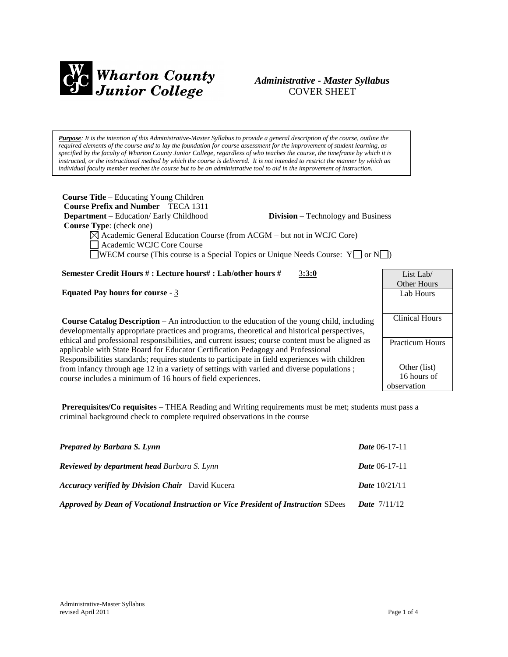

# *Administrative - Master Syllabus*  COVER SHEET

*Purpose: It is the intention of this Administrative-Master Syllabus to provide a general description of the course, outline the required elements of the course and to lay the foundation for course assessment for the improvement of student learning, as specified by the faculty of Wharton County Junior College, regardless of who teaches the course, the timeframe by which it is* instructed, or the instructional method by which the course is delivered. It is not intended to restrict the manner by which an *individual faculty member teaches the course but to be an administrative tool to aid in the improvement of instruction.*

| <b>Course Title</b> – Educating Young Children<br><b>Course Prefix and Number – TECA 1311</b><br><b>Department</b> – Education/ Early Childhood<br><b>Division</b> – Technology and Business<br><b>Course Type:</b> (check one)<br>$\boxtimes$ Academic General Education Course (from ACGM – but not in WCJC Core)<br>Academic WCJC Core Course<br><b>WECM</b> course (This course is a Special Topics or Unique Needs Course: $Y \cap N$ ) |                                            |
|----------------------------------------------------------------------------------------------------------------------------------------------------------------------------------------------------------------------------------------------------------------------------------------------------------------------------------------------------------------------------------------------------------------------------------------------|--------------------------------------------|
| Semester Credit Hours #: Lecture hours#: Lab/other hours #<br>3:3:0                                                                                                                                                                                                                                                                                                                                                                          | List Lab/<br>Other Hours                   |
| <b>Equated Pay hours for course - 3</b>                                                                                                                                                                                                                                                                                                                                                                                                      | Lab Hours                                  |
| <b>Course Catalog Description</b> – An introduction to the education of the young child, including<br>developmentally appropriate practices and programs, theoretical and historical perspectives,                                                                                                                                                                                                                                           | <b>Clinical Hours</b>                      |
| ethical and professional responsibilities, and current issues; course content must be aligned as<br>applicable with State Board for Educator Certification Pedagogy and Professional<br>Responsibilities standards; requires students to participate in field experiences with children                                                                                                                                                      | <b>Practicum Hours</b>                     |
| from infancy through age 12 in a variety of settings with varied and diverse populations;<br>course includes a minimum of 16 hours of field experiences.                                                                                                                                                                                                                                                                                     | Other (list)<br>16 hours of<br>observation |

**Prerequisites/Co requisites** – THEA Reading and Writing requirements must be met; students must pass a criminal background check to complete required observations in the course

| <b>Prepared by Barbara S. Lynn</b>                                                | <i>Date</i> $06-17-11$ |
|-----------------------------------------------------------------------------------|------------------------|
| <b>Reviewed by department head Barbara S. Lynn</b>                                | <i>Date</i> $06-17-11$ |
| <b>Accuracy verified by Division Chair</b> David Kucera                           | <b>Date</b> $10/21/11$ |
| Approved by Dean of Vocational Instruction or Vice President of Instruction SDees | <b>Date</b> $7/11/12$  |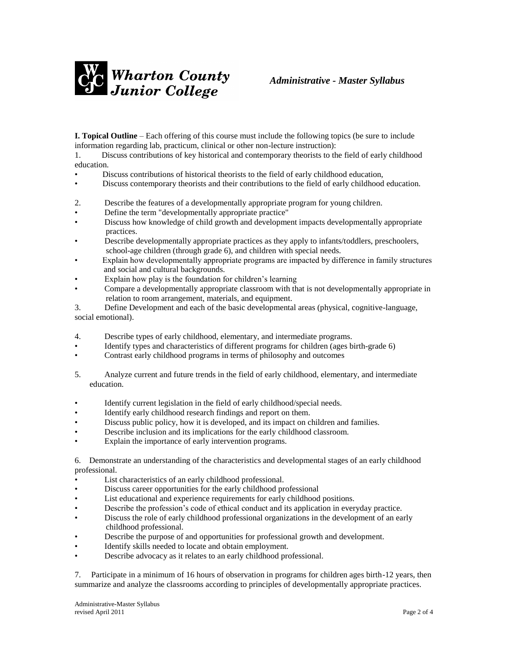

**I. Topical Outline** – Each offering of this course must include the following topics (be sure to include information regarding lab, practicum, clinical or other non-lecture instruction):

1. Discuss contributions of key historical and contemporary theorists to the field of early childhood education.

- Discuss contributions of historical theorists to the field of early childhood education,
- Discuss contemporary theorists and their contributions to the field of early childhood education.
- 2. Describe the features of a developmentally appropriate program for young children.
- Define the term "developmentally appropriate practice"
- Discuss how knowledge of child growth and development impacts developmentally appropriate practices.
- Describe developmentally appropriate practices as they apply to infants/toddlers, preschoolers, school-age children (through grade 6), and children with special needs.
- Explain how developmentally appropriate programs are impacted by difference in family structures and social and cultural backgrounds.
- Explain how play is the foundation for children's learning
- Compare a developmentally appropriate classroom with that is not developmentally appropriate in relation to room arrangement, materials, and equipment.
- 3. Define Development and each of the basic developmental areas (physical, cognitive-language, social emotional).
- 4. Describe types of early childhood, elementary, and intermediate programs.
- Identify types and characteristics of different programs for children (ages birth-grade 6)
- Contrast early childhood programs in terms of philosophy and outcomes
- 5. Analyze current and future trends in the field of early childhood, elementary, and intermediate education.
- Identify current legislation in the field of early childhood/special needs.
- Identify early childhood research findings and report on them.
- Discuss public policy, how it is developed, and its impact on children and families.
- Describe inclusion and its implications for the early childhood classroom.
- Explain the importance of early intervention programs.

6. Demonstrate an understanding of the characteristics and developmental stages of an early childhood professional.

- List characteristics of an early childhood professional.
- Discuss career opportunities for the early childhood professional
- List educational and experience requirements for early childhood positions.
- Describe the profession's code of ethical conduct and its application in everyday practice.
- Discuss the role of early childhood professional organizations in the development of an early childhood professional.
- Describe the purpose of and opportunities for professional growth and development.
- Identify skills needed to locate and obtain employment.
- Describe advocacy as it relates to an early childhood professional.

7. Participate in a minimum of 16 hours of observation in programs for children ages birth-12 years, then summarize and analyze the classrooms according to principles of developmentally appropriate practices.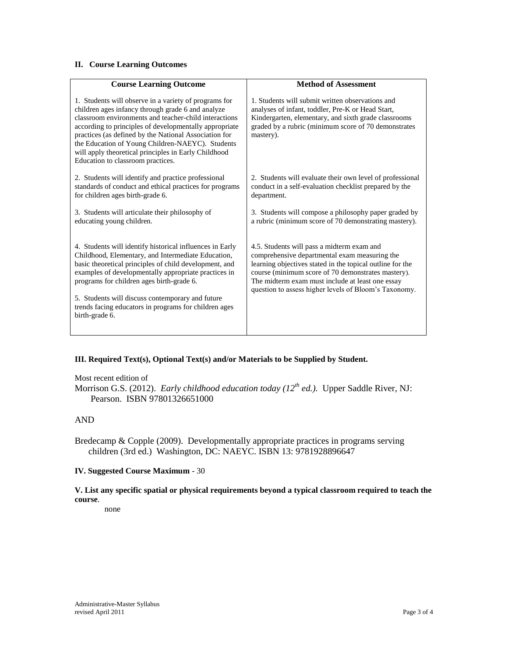## **II. Course Learning Outcomes**

| <b>Course Learning Outcome</b>                                                                                                                                                                                                                                                                                                                                                                                                          | <b>Method of Assessment</b>                                                                                                                                                                                                                                                                                                 |
|-----------------------------------------------------------------------------------------------------------------------------------------------------------------------------------------------------------------------------------------------------------------------------------------------------------------------------------------------------------------------------------------------------------------------------------------|-----------------------------------------------------------------------------------------------------------------------------------------------------------------------------------------------------------------------------------------------------------------------------------------------------------------------------|
| 1. Students will observe in a variety of programs for<br>children ages infancy through grade 6 and analyze<br>classroom environments and teacher-child interactions<br>according to principles of developmentally appropriate<br>practices (as defined by the National Association for<br>the Education of Young Children-NAEYC). Students<br>will apply theoretical principles in Early Childhood<br>Education to classroom practices. | 1. Students will submit written observations and<br>analyses of infant, toddler, Pre-K or Head Start,<br>Kindergarten, elementary, and sixth grade classrooms<br>graded by a rubric (minimum score of 70 demonstrates<br>mastery).                                                                                          |
| 2. Students will identify and practice professional<br>standards of conduct and ethical practices for programs<br>for children ages birth-grade 6.                                                                                                                                                                                                                                                                                      | 2. Students will evaluate their own level of professional<br>conduct in a self-evaluation checklist prepared by the<br>department.                                                                                                                                                                                          |
| 3. Students will articulate their philosophy of<br>educating young children.                                                                                                                                                                                                                                                                                                                                                            | 3. Students will compose a philosophy paper graded by<br>a rubric (minimum score of 70 demonstrating mastery).                                                                                                                                                                                                              |
| 4. Students will identify historical influences in Early<br>Childhood, Elementary, and Intermediate Education,<br>basic theoretical principles of child development, and<br>examples of developmentally appropriate practices in<br>programs for children ages birth-grade 6.<br>5. Students will discuss contemporary and future<br>trends facing educators in programs for children ages                                              | 4.5. Students will pass a midterm exam and<br>comprehensive departmental exam measuring the<br>learning objectives stated in the topical outline for the<br>course (minimum score of 70 demonstrates mastery).<br>The midterm exam must include at least one essay<br>question to assess higher levels of Bloom's Taxonomy. |
| birth-grade 6.                                                                                                                                                                                                                                                                                                                                                                                                                          |                                                                                                                                                                                                                                                                                                                             |

## **III. Required Text(s), Optional Text(s) and/or Materials to be Supplied by Student.**

Most recent edition of

Morrison G.S. (2012). *Early childhood education today (12th ed.).* Upper Saddle River, NJ: Pearson. ISBN 97801326651000

## AND

Bredecamp & Copple (2009). Developmentally appropriate practices in programs serving children (3rd ed.) Washington, DC: NAEYC. ISBN 13: 9781928896647

## **IV. Suggested Course Maximum** - 30

**V. List any specific spatial or physical requirements beyond a typical classroom required to teach the course**.

none